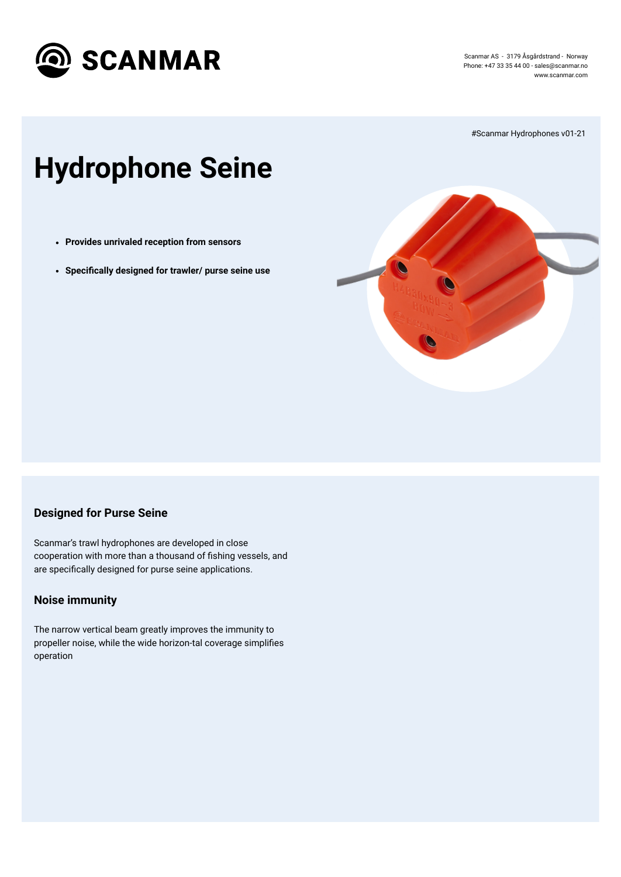

Scanmar AS - 3179 Åsgårdstrand - Norway Phone: +47 33 35 44 00 - [sales@scanmar.no](mailto:sales@scanmar.no) www.scanmar.com

# **Hydrophone Seine**

Scanmar's trawl hydrophones are developed in close cooperation with more than a thousand of fishing vessels, and are specifically designed for purse seine applications.

#Scanmar Hydrophones v01-21



## **Designed for Purse Seine**

## **Noise immunity**

The narrow vertical beam greatly improves the immunity to propeller noise, while the wide horizon-tal coverage simplifies operation